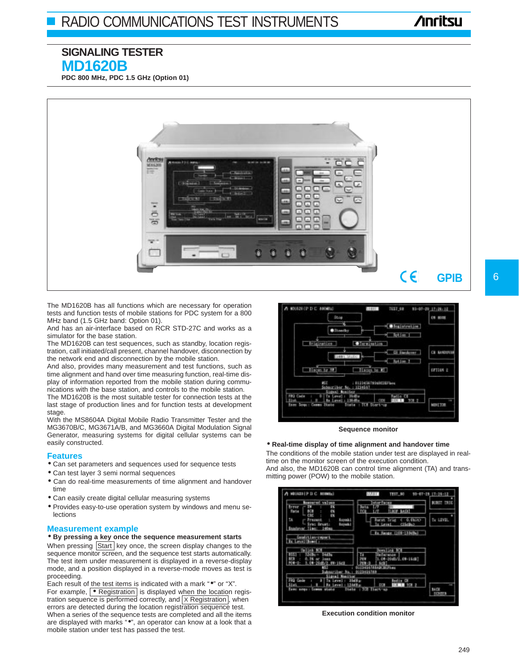# **Anritsu**

## **SIGNALING TESTER MD1620B**

**PDC 800 MHz, PDC 1.5 GHz (Option 01)**



The MD1620B has all functions which are necessary for operation tests and function tests of mobile stations for PDC system for a 800 MHz band (1.5 GHz band: Option 01).

And has an air-interface based on RCR STD-27C and works as a simulator for the base station.

The MD1620B can test sequences, such as standby, location registration, call initiated/call present, channel handover, disconnection by the network end and disconnection by the mobile station.

And also, provides many measurement and test functions, such as time alignment and hand over time measuring function, real-time display of information reported from the mobile station during communications with the base station, and controls to the mobile station.

The MD1620B is the most suitable tester for connection tests at the last stage of production lines and for function tests at development stage.

With the MS8604A Digital Mobile Radio Transmitter Tester and the MG3670B/C, MG3671A/B, and MG3660A Digital Modulation Signal Generator, measuring systems for digital cellular systems can be easily constructed.

#### **Features**

- Can set parameters and sequences used for sequence tests
- Can test layer 3 semi normal sequences
- Can do real-time measurements of time alignment and handover time
- Can easily create digital cellular measuring systems
- Provides easy-to-use operation system by windows and menu selections

#### **Measurement example**

• **By pressing a key once the sequence measurement starts**

When pressing Start key once, the screen display changes to the sequence monitor screen, and the sequence test starts automatically. The test item under measurement is displayed in a reverse-display mode, and a position displayed in a reverse-mode moves as test is proceeding.

Each result of the test items is indicated with a mark ". or "X". For example,  $\boxed{\bullet}$  Registration is displayed when the location registration sequence is performed correctly, and  $X$  Registration, when errors are detected during the location registration sequence test. When a series of the sequence tests are completed and all the items are displayed with marks "•", an operator can know at a look that a mobile station under test has passed the test.



#### **Sequence monitor**

#### • **Real-time display of time alignment and handover time**

The conditions of the mobile station under test are displayed in realtime on the monitor screen of the execution condition. And also, the MD1620B can control time alignment (TA) and transmitting power (POW) to the mobile station.



**Execution condition monitor**